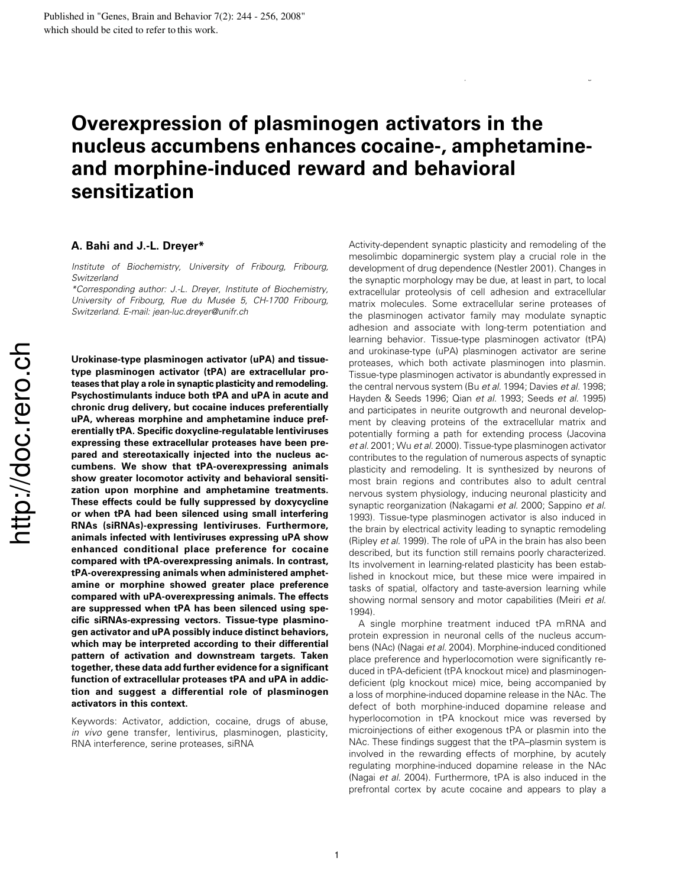# Overexpression of plasminogen activators in the nucleus accumbens enhances cocaine-, amphetamineand morphine-induced reward and behavioral sensitization

# A. Bahi and J.-L. Dreyer\*

Institute of Biochemistry, University of Fribourg, Fribourg, **Switzerland** 

\*Corresponding author: J.-L. Dreyer, Institute of Biochemistry, University of Fribourg, Rue du Musée 5, CH-1700 Fribourg, Switzerland. E-mail: jean-luc.dreyer@unifr.ch

Urokinase-type plasminogen activator (uPA) and tissuetype plasminogen activator (tPA) are extracellular proteases that play a role in synaptic plasticity and remodeling. Psychostimulants induce both tPA and uPA in acute and chronic drug delivery, but cocaine induces preferentially uPA, whereas morphine and amphetamine induce preferentially tPA. Specific doxycline-regulatable lentiviruses expressing these extracellular proteases have been prepared and stereotaxically injected into the nucleus accumbens. We show that tPA-overexpressing animals show greater locomotor activity and behavioral sensitization upon morphine and amphetamine treatments. These effects could be fully suppressed by doxycycline or when tPA had been silenced using small interfering RNAs (siRNAs)-expressing lentiviruses. Furthermore, animals infected with lentiviruses expressing uPA show enhanced conditional place preference for cocaine compared with tPA-overexpressing animals. In contrast, tPA-overexpressing animals when administered amphetamine or morphine showed greater place preference compared with uPA-overexpressing animals. The effects are suppressed when tPA has been silenced using specific siRNAs-expressing vectors. Tissue-type plasminogen activator and uPA possibly induce distinct behaviors, which may be interpreted according to their differential pattern of activation and downstream targets. Taken together, these data add further evidence for a significant function of extracellular proteases tPA and uPA in addiction and suggest a differential role of plasminogen activators in this context.

Keywords: Activator, addiction, cocaine, drugs of abuse, in vivo gene transfer, lentivirus, plasminogen, plasticity, RNA interference, serine proteases, siRNA

Activity-dependent synaptic plasticity and remodeling of the mesolimbic dopaminergic system play a crucial role in the development of drug dependence (Nestler 2001). Changes in the synaptic morphology may be due, at least in part, to local extracellular proteolysis of cell adhesion and extracellular matrix molecules. Some extracellular serine proteases of the plasminogen activator family may modulate synaptic adhesion and associate with long-term potentiation and learning behavior. Tissue-type plasminogen activator (tPA) and urokinase-type (uPA) plasminogen activator are serine proteases, which both activate plasminogen into plasmin. Tissue-type plasminogen activator is abundantly expressed in the central nervous system (Bu et al. 1994; Davies et al. 1998; Hayden & Seeds 1996; Qian et al. 1993; Seeds et al. 1995) and participates in neurite outgrowth and neuronal development by cleaving proteins of the extracellular matrix and potentially forming a path for extending process (Jacovina et al. 2001; Wu et al. 2000). Tissue-type plasminogen activator contributes to the regulation of numerous aspects of synaptic plasticity and remodeling. It is synthesized by neurons of most brain regions and contributes also to adult central nervous system physiology, inducing neuronal plasticity and synaptic reorganization (Nakagami et al. 2000; Sappino et al. 1993). Tissue-type plasminogen activator is also induced in the brain by electrical activity leading to synaptic remodeling (Ripley et al. 1999). The role of uPA in the brain has also been described, but its function still remains poorly characterized. Its involvement in learning-related plasticity has been established in knockout mice, but these mice were impaired in tasks of spatial, olfactory and taste-aversion learning while showing normal sensory and motor capabilities (Meiri et al. 1994).

p group and the second control of the second control of the second control of the second control of the second <br>In the second control of the second control of the second control of the second control of the second control

A single morphine treatment induced tPA mRNA and protein expression in neuronal cells of the nucleus accumbens (NAc) (Nagai et al. 2004). Morphine-induced conditioned place preference and hyperlocomotion were significantly reduced in tPA-deficient (tPA knockout mice) and plasminogendeficient (plg knockout mice) mice, being accompanied by a loss of morphine-induced dopamine release in the NAc. The defect of both morphine-induced dopamine release and hyperlocomotion in tPA knockout mice was reversed by microinjections of either exogenous tPA or plasmin into the NAc. These findings suggest that the tPA–plasmin system is involved in the rewarding effects of morphine, by acutely regulating morphine-induced dopamine release in the NAc (Nagai et al. 2004). Furthermore, tPA is also induced in the prefrontal cortex by acute cocaine and appears to play a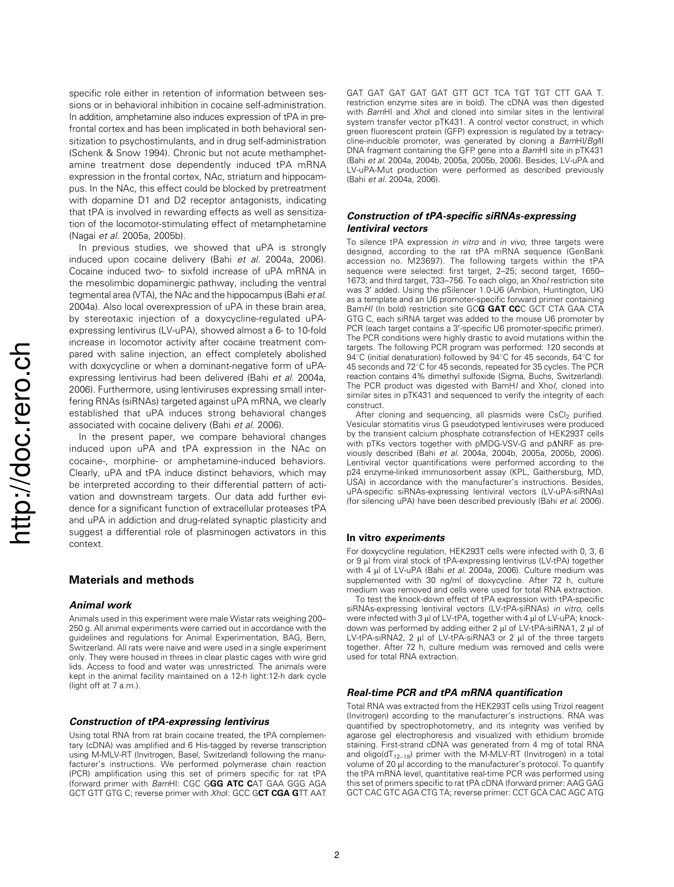specific role either in retention of information between sessions or in behavioral inhibition in cocaine self-administration. In addition, amphetamine also induces expression of tPA in prefrontal cortex and has been implicated in both behavioral sensitization to psychostimulants, and in drug self-administration (Schenk & Snow 1994). Chronic but not acute methamphetamine treatment dose dependently induced tPA mRNA expression in the frontal cortex, NAc, striatum and hippocampus. In the NAc, this effect could be blocked by pretreatment with dopamine D1 and D2 receptor antagonists, indicating that tPA is involved in rewarding effects as well as sensitization of the locomotor-stimulating effect of metamphetamine (Nagai et al. 2005a, 2005b).

In previous studies, we showed that uPA is strongly induced upon cocaine delivery (Bahi et al. 2004a, 2006). Cocaine induced two- to sixfold increase of uPA mRNA in the mesolimbic dopaminergic pathway, including the ventral tegmental area (VTA), the NAc and the hippocampus (Bahi et al. 2004a). Also local overexpression of uPA in these brain area, by stereotaxic injection of a doxycycline-regulated uPAexpressing lentivirus (LV-uPA), showed almost a 6- to 10-fold increase in locomotor activity after cocaine treatment compared with saline injection, an effect completely abolished with doxycycline or when a dominant-negative form of uPAexpressing lentivirus had been delivered (Bahi et al. 2004a, 2006). Furthermore, using lentiviruses expressing small interfering RNAs (siRNAs) targeted against uPA mRNA, we clearly established that uPA induces strong behavioral changes associated with cocaine delivery (Bahi et al. 2006).

In the present paper, we compare behavioral changes induced upon uPA and tPA expression in the NAc on cocaine-, morphine- or amphetamine-induced behaviors. Clearly, uPA and tPA induce distinct behaviors, which may be interpreted according to their differential pattern of activation and downstream targets. Our data add further evidence for a significant function of extracellular proteases tPA and uPA in addiction and drug-related synaptic plasticity and suggest a differential role of plasminogen activators in this context.

# Materials and methods

## Animal work

Animals used in this experiment were male Wistar rats weighing 200– 250 g. All animal experiments were carried out in accordance with the guidelines and regulations for Animal Experimentation, BAG, Bern, Switzerland. All rats were naive and were used in a single experiment only. They were housed in threes in clear plastic cages with wire grid lids. Access to food and water was unrestricted. The animals were kept in the animal facility maintained on a 12-h light:12-h dark cycle (light off at 7 a.m.).

# Construction of tPA-expressing lentivirus

Using total RNA from rat brain cocaine treated, the tPA complementary (cDNA) was amplified and 6 His-tagged by reverse transcription using M-MLV-RT (Invitrogen, Basel, Switzerland) following the manufacturer's instructions. We performed polymerase chain reaction (PCR) amplification using this set of primers specific for rat tPA (forward primer with BamHI: CGC GGG ATC CAT GAA GGG AGA GCT GTT GTG C: reverse primer with Xhol: GCC G**CT CGA G**TT AAT

GAT GAT GAT GAT GAT GTT GCT TCA TGT TGT CTT GAA T. restriction enzyme sites are in bold). The cDNA was then digested with BamHI and XhoI and cloned into similar sites in the lentiviral system transfer vector pTK431. A control vector construct, in which green fluorescent protein (GFP) expression is regulated by a tetracycline-inducible promoter, was generated by cloning a BamHI/Bg/II DNA fragment containing the GFP gene into a BamHI site in pTK431 (Bahi et al. 2004a, 2004b, 2005a, 2005b, 2006). Besides, LV-uPA and LV-uPA-Mut production were performed as described previously (Bahi et al. 2004a, 2006).

## Construction of tPA-specific siRNAs-expressing lentiviral vectors

To silence tPA expression in vitro and in vivo, three targets were designed, according to the rat tPA mRNA sequence (GenBank accession no. M23697). The following targets within the tPA sequence were selected: first target, 2–25; second target, 1650– 1673; and third target, 733-756. To each oligo, an Xhol restriction site was 3' added. Using the pSilencer 1.0-U6 (Ambion, Huntington, UK) as a template and an U6 promoter-specific forward primer containing BamHI (In bold) restriction site GCG GAT CCC GCT CTA GAA CTA GTG C, each siRNA target was added to the mouse U6 promoter by PCR (each target contains a 3'-specific U6 promoter-specific primer). The PCR conditions were highly drastic to avoid mutations within the targets. The following PCR program was performed: 120 seconds at 94 $\degree$ C (initial denaturation) followed by 94 $\degree$ C for 45 seconds, 64 $\degree$ C for 45 seconds and 72°C for 45 seconds, repeated for 35 cycles. The PCR reaction contains 4% dimethyl sulfoxide (Sigma, Buchs, Switzerland). The PCR product was digested with BamHI and XhoI, cloned into similar sites in pTK431 and sequenced to verify the integrity of each construct.

After cloning and sequencing, all plasmids were  $CsCl<sub>2</sub>$  purified. Vesicular stomatitis virus G pseudotyped lentiviruses were produced by the transient calcium phosphate cotransfection of HEK293T cells with pTKs vectors together with pMDG-VSV-G and  $p\Delta$ NRF as previously described (Bahi et al. 2004a, 2004b, 2005a, 2005b, 2006). Lentiviral vector quantifications were performed according to the p24 enzyme-linked immunosorbent assay (KPL, Gaithersburg, MD, USA) in accordance with the manufacturer's instructions. Besides, uPA-specific siRNAs-expressing lentiviral vectors (LV-uPA-siRNAs) (for silencing uPA) have been described previously (Bahi et al. 2006).

#### In vitro experiments

For doxycycline regulation, HEK293T cells were infected with 0, 3, 6 or 9 µl from viral stock of tPA-expressing lentivirus (LV-tPA) together with 4 µl of LV-uPA (Bahi et al. 2004a, 2006). Culture medium was supplemented with 30 ng/ml of doxycycline. After 72 h, culture medium was removed and cells were used for total RNA extraction.

To test the knock-down effect of tPA expression with tPA-specific siRNAs-expressing lentiviral vectors (LV-tPA-siRNAs) in vitro, cells were infected with  $3 \mu$  of LV-tPA, together with  $4 \mu$  of LV-uPA; knockdown was performed by adding either 2  $\mu$ l of LV-tPA-siRNA1, 2  $\mu$ l of LV-tPA-siRNA2, 2 µl of LV-tPA-siRNA3 or 2 µl of the three targets together. After 72 h, culture medium was removed and cells were used for total RNA extraction.

## Real-time PCR and tPA mRNA quantification

Total RNA was extracted from the HEK293T cells using Trizol reagent (Invitrogen) according to the manufacturer's instructions. RNA was quantified by spectrophotometry, and its integrity was verified by agarose gel electrophoresis and visualized with ethidium bromide staining. First-strand cDNA was generated from 4 mg of total RNA and oligo( $dT_{12-18}$ ) primer with the M-MLV-RT (Invitrogen) in a total volume of 20 µl according to the manufacturer's protocol. To quantify the tPA mRNA level, quantitative real-time PCR was performed using this set of primers specific to rat tPA cDNA (forward primer: AAG GAG GCT CAC GTC AGA CTG TA; reverse primer: CCT GCA CAC AGC ATG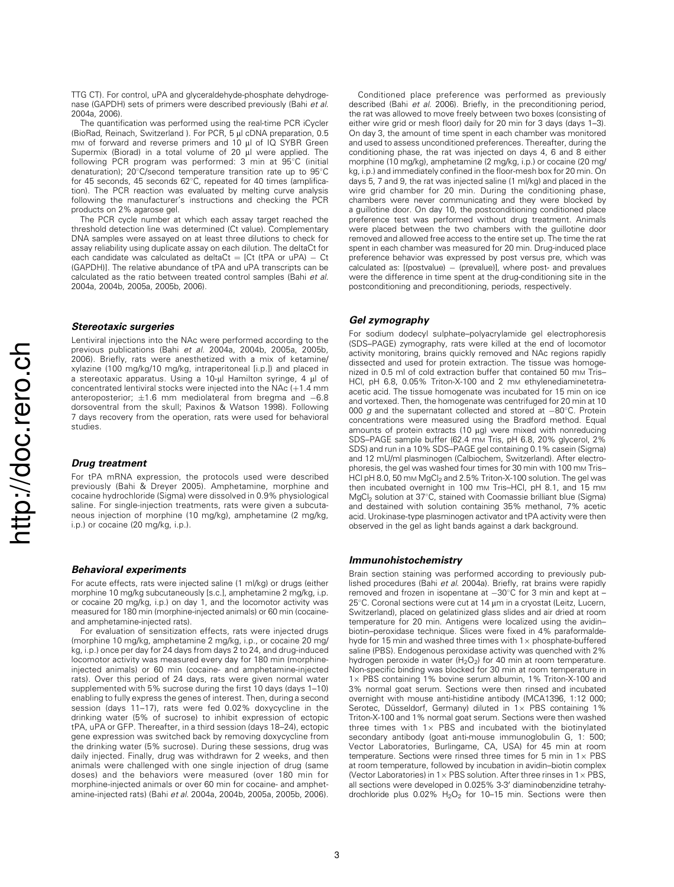TTG CT). For control, uPA and glyceraldehyde-phosphate dehydrogenase (GAPDH) sets of primers were described previously (Bahi et al. 2004a, 2006).

The quantification was performed using the real-time PCR iCycler (BioRad, Reinach, Switzerland ). For PCR, 5 µl cDNA preparation, 0.5 mm of forward and reverse primers and 10  $\mu$ l of IQ SYBR Green Supermix (Biorad) in a total volume of 20 µl were applied. The following PCR program was performed: 3 min at 95°C (initial denaturation); 20°C/second temperature transition rate up to 95°C for 45 seconds, 45 seconds  $62^{\circ}$ C, repeated for 40 times (amplification). The PCR reaction was evaluated by melting curve analysis following the manufacturer's instructions and checking the PCR products on 2% agarose gel.

The PCR cycle number at which each assay target reached the threshold detection line was determined (Ct value). Complementary DNA samples were assayed on at least three dilutions to check for assay reliability using duplicate assay on each dilution. The deltaCt for each candidate was calculated as deltaCt =  $[Ct]$  (tPA or uPA) - Ct (GAPDH)]. The relative abundance of tPA and uPA transcripts can be calculated as the ratio between treated control samples (Bahi et al. 2004a, 2004b, 2005a, 2005b, 2006).

#### Stereotaxic surgeries

Lentiviral injections into the NAc were performed according to the previous publications (Bahi et al. 2004a, 2004b, 2005a, 2005b, 2006). Briefly, rats were anesthetized with a mix of ketamine/ xylazine (100 mg/kg/10 mg/kg, intraperitoneal [i.p.]) and placed in a stereotaxic apparatus. Using a 10-µl Hamilton syringe, 4 µl of concentrated lentiviral stocks were injected into the NAc  $(+1.4$  mm anteroposterior;  $\pm 1.6$  mm mediolateral from bregma and  $-6.8$ dorsoventral from the skull; Paxinos & Watson 1998). Following 7 days recovery from the operation, rats were used for behavioral studies.

#### Drug treatment

For tPA mRNA expression, the protocols used were described previously (Bahi & Dreyer 2005). Amphetamine, morphine and cocaine hydrochloride (Sigma) were dissolved in 0.9% physiological saline. For single-injection treatments, rats were given a subcutaneous injection of morphine (10 mg/kg), amphetamine (2 mg/kg, i.p.) or cocaine (20 mg/kg, i.p.).

#### Behavioral experiments

For acute effects, rats were injected saline (1 ml/kg) or drugs (either morphine 10 mg/kg subcutaneously [s.c.], amphetamine 2 mg/kg, i.p. or cocaine 20 mg/kg, i.p.) on day 1, and the locomotor activity was measured for 180 min (morphine-injected animals) or 60 min (cocaineand amphetamine-injected rats).

For evaluation of sensitization effects, rats were injected drugs (morphine 10 mg/kg, amphetamine 2 mg/kg, i.p., or cocaine 20 mg/ kg, i.p.) once per day for 24 days from days 2 to 24, and drug-induced locomotor activity was measured every day for 180 min (morphineinjected animals) or 60 min (cocaine- and amphetamine-injected rats). Over this period of 24 days, rats were given normal water supplemented with 5% sucrose during the first 10 days (days 1–10) enabling to fully express the genes of interest. Then, during a second session (days 11–17), rats were fed 0.02% doxycycline in the drinking water (5% of sucrose) to inhibit expression of ectopic tPA, uPA or GFP. Thereafter, in a third session (days 18–24), ectopic gene expression was switched back by removing doxycycline from the drinking water (5% sucrose). During these sessions, drug was daily injected. Finally, drug was withdrawn for 2 weeks, and then animals were challenged with one single injection of drug (same doses) and the behaviors were measured (over 180 min for morphine-injected animals or over 60 min for cocaine- and amphetamine-injected rats) (Bahi et al. 2004a, 2004b, 2005a, 2005b, 2006).

Conditioned place preference was performed as previously described (Bahi et al. 2006). Briefly, in the preconditioning period, the rat was allowed to move freely between two boxes (consisting of either wire grid or mesh floor) daily for 20 min for 3 days (days 1–3). On day 3, the amount of time spent in each chamber was monitored and used to assess unconditioned preferences. Thereafter, during the conditioning phase, the rat was injected on days 4, 6 and 8 either morphine (10 mg/kg), amphetamine (2 mg/kg, i.p.) or cocaine (20 mg/ kg, i.p.) and immediately confined in the floor-mesh box for 20 min. On days 5, 7 and 9, the rat was injected saline (1 ml/kg) and placed in the wire grid chamber for 20 min. During the conditioning phase, chambers were never communicating and they were blocked by a guillotine door. On day 10, the postconditioning conditioned place preference test was performed without drug treatment. Animals were placed between the two chambers with the guillotine door removed and allowed free access to the entire set up. The time the rat spent in each chamber was measured for 20 min. Drug-induced place preference behavior was expressed by post versus pre, which was calculated as: [(postvalue) - (prevalue)], where post- and prevalues were the difference in time spent at the drug-conditioning site in the postconditioning and preconditioning, periods, respectively.

#### Gel zymography

For sodium dodecyl sulphate–polyacrylamide gel electrophoresis (SDS–PAGE) zymography, rats were killed at the end of locomotor activity monitoring, brains quickly removed and NAc regions rapidly dissected and used for protein extraction. The tissue was homogenized in 0.5 ml of cold extraction buffer that contained 50 mm Tris-HCl, pH 6.8, 0.05% Triton-X-100 and 2 mm ethylenediaminetetraacetic acid. The tissue homogenate was incubated for 15 min on ice and vortexed. Then, the homogenate was centrifuged for 20 min at 10 000  $g$  and the supernatant collected and stored at  $-80^{\circ}$ C. Protein concentrations were measured using the Bradford method. Equal amounts of protein extracts (10 µg) were mixed with nonreducing SDS–PAGE sample buffer (62.4 mm Tris, pH 6.8, 20% glycerol, 2% SDS) and run in a 10% SDS–PAGE gel containing 0.1% casein (Sigma) and 12 mU/ml plasminogen (Calbiochem, Switzerland). After electrophoresis, the gel was washed four times for 30 min with 100 mm Tris-HCl pH 8.0, 50 mm MgCl<sub>2</sub> and 2.5% Triton-X-100 solution. The gel was then incubated overnight in 100 mm Tris-HCl, pH 8.1, and 15 mm MgCl<sub>2</sub> solution at 37°C, stained with Coomassie brilliant blue (Sigma) and destained with solution containing 35% methanol, 7% acetic acid. Urokinase-type plasminogen activator and tPA activity were then observed in the gel as light bands against a dark background.

#### Immunohistochemistry

Brain section staining was performed according to previously published procedures (Bahi et al. 2004a). Briefly, rat brains were rapidly removed and frozen in isopentane at  $-30^{\circ}$ C for 3 min and kept at  $-$ 25°C. Coronal sections were cut at 14 um in a cryostat (Leitz, Lucern, Switzerland), placed on gelatinized glass slides and air dried at room temperature for 20 min. Antigens were localized using the avidin– biotin–peroxidase technique. Slices were fixed in 4% paraformaldehyde for 15 min and washed three times with  $1 \times$  phosphate-buffered saline (PBS). Endogenous peroxidase activity was quenched with 2% hydrogen peroxide in water  $(H_2O_2)$  for 40 min at room temperature. Non-specific binding was blocked for 30 min at room temperature in  $1 \times$  PBS containing 1% bovine serum albumin, 1% Triton-X-100 and 3% normal goat serum. Sections were then rinsed and incubated overnight with mouse anti-histidine antibody (MCA1396, 1:12 000; Serotec, Düsseldorf, Germany) diluted in  $1 \times$  PBS containing 1% Triton-X-100 and 1% normal goat serum. Sections were then washed three times with  $1 \times$  PBS and incubated with the biotinylated secondary antibody (goat anti-mouse immunoglobulin G, 1: 500; Vector Laboratories, Burlingame, CA, USA) for 45 min at room temperature. Sections were rinsed three times for 5 min in  $1 \times PBS$ at room temperature, followed by incubation in avidin–biotin complex (Vector Laboratories) in  $1 \times PBS$  solution. After three rinses in  $1 \times PBS$ , all sections were developed in 0.025% 3-3' diaminobenzidine tetrahydrochloride plus  $0.02\%$  H<sub>2</sub>O<sub>2</sub> for 10-15 min. Sections were then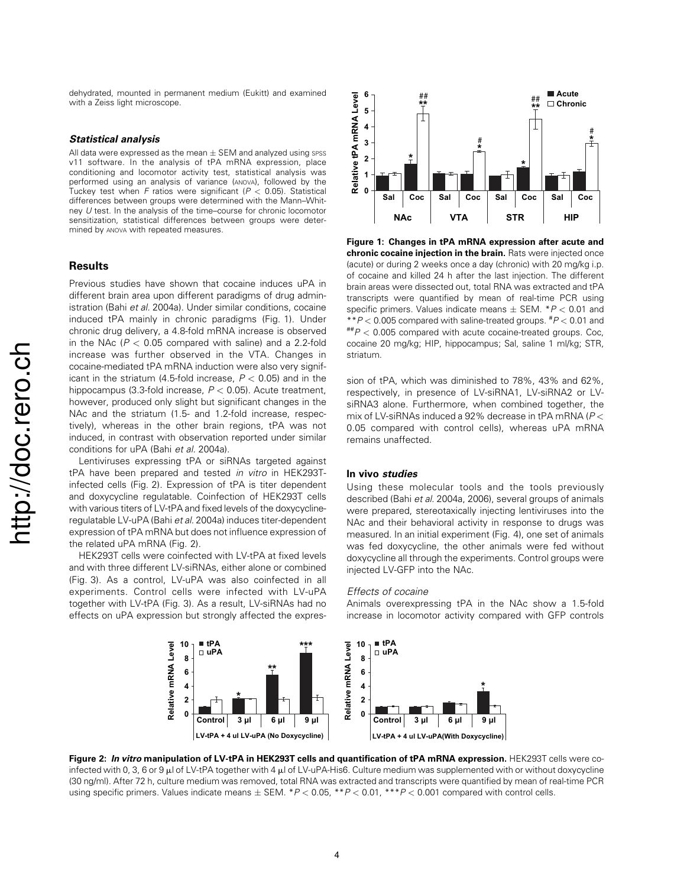dehydrated, mounted in permanent medium (Eukitt) and examined with a Zeiss light microscope.

## Statistical analysis

All data were expressed as the mean  $\pm$  SEM and analyzed using spss v11 software. In the analysis of tPA mRNA expression, place conditioning and locomotor activity test, statistical analysis was performed using an analysis of variance (ANOVA), followed by the Tuckey test when F ratios were significant ( $P < 0.05$ ). Statistical differences between groups were determined with the Mann–Whitney U test. In the analysis of the time–course for chronic locomotor sensitization, statistical differences between groups were determined by ANOVA with repeated measures.

# Results

Previous studies have shown that cocaine induces uPA in different brain area upon different paradigms of drug administration (Bahi et al. 2004a). Under similar conditions, cocaine induced tPA mainly in chronic paradigms (Fig. 1). Under chronic drug delivery, a 4.8-fold mRNA increase is observed in the NAc ( $P < 0.05$  compared with saline) and a 2.2-fold increase was further observed in the VTA. Changes in cocaine-mediated tPA mRNA induction were also very significant in the striatum (4.5-fold increase,  $P < 0.05$ ) and in the hippocampus (3.3-fold increase,  $P < 0.05$ ). Acute treatment, however, produced only slight but significant changes in the NAc and the striatum (1.5- and 1.2-fold increase, respectively), whereas in the other brain regions, tPA was not induced, in contrast with observation reported under similar conditions for uPA (Bahi et al. 2004a).

Lentiviruses expressing tPA or siRNAs targeted against tPA have been prepared and tested in vitro in HEK293Tinfected cells (Fig. 2). Expression of tPA is titer dependent and doxycycline regulatable. Coinfection of HEK293T cells with various titers of LV-tPA and fixed levels of the doxycyclineregulatable LV-uPA (Bahi et al. 2004a) induces titer-dependent expression of tPA mRNA but does not influence expression of the related uPA mRNA (Fig. 2).

HEK293T cells were coinfected with LV-tPA at fixed levels and with three different LV-siRNAs, either alone or combined (Fig. 3). As a control, LV-uPA was also coinfected in all experiments. Control cells were infected with LV-uPA together with LV-tPA (Fig. 3). As a result, LV-siRNAs had no effects on uPA expression but strongly affected the expres-



Figure 1: Changes in tPA mRNA expression after acute and chronic cocaine injection in the brain. Rats were injected once (acute) or during 2 weeks once a day (chronic) with 20 mg/kg i.p. of cocaine and killed 24 h after the last injection. The different brain areas were dissected out, total RNA was extracted and tPA transcripts were quantified by mean of real-time PCR using specific primers. Values indicate means  $\pm$  SEM. \*P < 0.01 and \*\* $P$  < 0.005 compared with saline-treated groups.  ${}^{#}P$  < 0.01 and  $^{**P}$  < 0.005 compared with acute cocaine-treated groups. Coc, cocaine 20 mg/kg; HIP, hippocampus; Sal, saline 1 ml/kg; STR, striatum.

sion of tPA, which was diminished to 78%, 43% and 62%, respectively, in presence of LV-siRNA1, LV-siRNA2 or LVsiRNA3 alone. Furthermore, when combined together, the mix of LV-siRNAs induced a 92% decrease in tPA mRNA ( $P <$ 0.05 compared with control cells), whereas uPA mRNA remains unaffected.

# In vivo studies

Using these molecular tools and the tools previously described (Bahi et al. 2004a, 2006), several groups of animals were prepared, stereotaxically injecting lentiviruses into the NAc and their behavioral activity in response to drugs was measured. In an initial experiment (Fig. 4), one set of animals was fed doxycycline, the other animals were fed without doxycycline all through the experiments. Control groups were injected LV-GFP into the NAc.

#### Effects of cocaine

Animals overexpressing tPA in the NAc show a 1.5-fold increase in locomotor activity compared with GFP controls



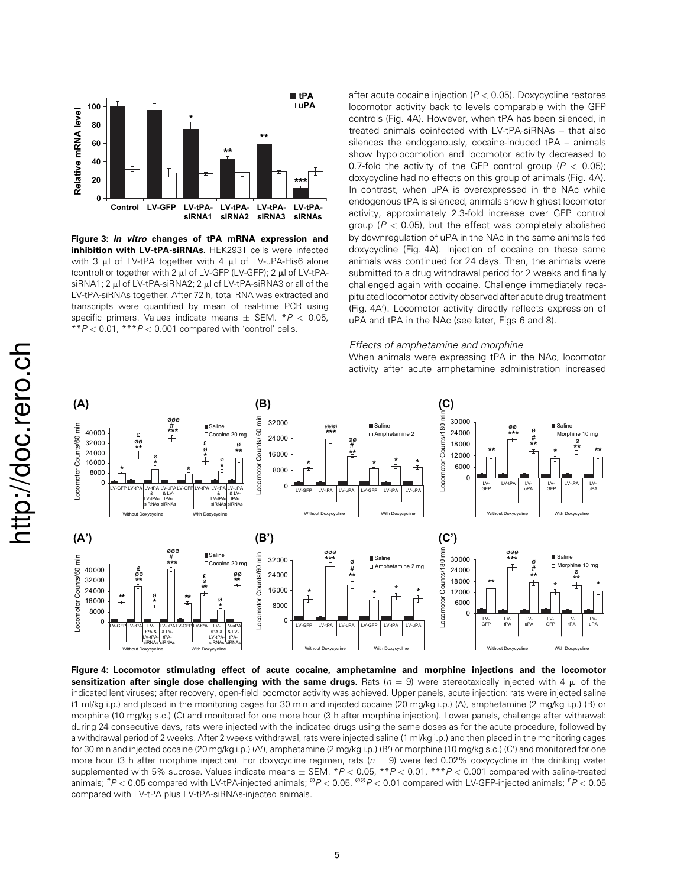

Figure 3: In vitro changes of tPA mRNA expression and inhibition with LV-tPA-siRNAs. HEK293T cells were infected with 3  $\mu$ l of LV-tPA together with 4  $\mu$ l of LV-uPA-His6 alone (control) or together with 2 µl of LV-GFP (LV-GFP); 2 µl of LV-tPAsiRNA1; 2 µl of LV-tPA-siRNA2; 2 µl of LV-tPA-siRNA3 or all of the LV-tPA-siRNAs together. After 72 h, total RNA was extracted and transcripts were quantified by mean of real-time PCR using specific primers. Values indicate means  $\pm$  SEM. \* $P$  < 0.05, \*\* $P < 0.01$ , \*\*\* $P < 0.001$  compared with 'control' cells.

after acute cocaine injection ( $P < 0.05$ ). Doxycycline restores locomotor activity back to levels comparable with the GFP controls (Fig. 4A). However, when tPA has been silenced, in treated animals coinfected with LV-tPA-siRNAs – that also silences the endogenously, cocaine-induced tPA – animals show hypolocomotion and locomotor activity decreased to 0.7-fold the activity of the GFP control group ( $P < 0.05$ ); doxycycline had no effects on this group of animals (Fig. 4A). In contrast, when uPA is overexpressed in the NAc while endogenous tPA is silenced, animals show highest locomotor activity, approximately 2.3-fold increase over GFP control group ( $P < 0.05$ ), but the effect was completely abolished by downregulation of uPA in the NAc in the same animals fed doxycycline (Fig. 4A). Injection of cocaine on these same animals was continued for 24 days. Then, the animals were submitted to a drug withdrawal period for 2 weeks and finally challenged again with cocaine. Challenge immediately recapitulated locomotor activity observed after acute drug treatment (Fig. 4A'). Locomotor activity directly reflects expression of uPA and tPA in the NAc (see later, Figs 6 and 8).

#### Effects of amphetamine and morphine

When animals were expressing tPA in the NAc, locomotor activity after acute amphetamine administration increased



Figure 4: Locomotor stimulating effect of acute cocaine, amphetamine and morphine injections and the locomotor sensitization after single dose challenging with the same drugs. Rats ( $n = 9$ ) were stereotaxically injected with 4  $\mu$ l of the indicated lentiviruses; after recovery, open-field locomotor activity was achieved. Upper panels, acute injection: rats were injected saline (1 ml/kg i.p.) and placed in the monitoring cages for 30 min and injected cocaine (20 mg/kg i.p.) (A), amphetamine (2 mg/kg i.p.) (B) or morphine (10 mg/kg s.c.) (C) and monitored for one more hour (3 h after morphine injection). Lower panels, challenge after withrawal: during 24 consecutive days, rats were injected with the indicated drugs using the same doses as for the acute procedure, followed by a withdrawal period of 2 weeks. After 2 weeks withdrawal, rats were injected saline (1 ml/kg i.p.) and then placed in the monitoring cages for 30 min and injected cocaine (20 mg/kg i.p.) (A'), amphetamine (2 mg/kg i.p.) (B') or morphine (10 mg/kg s.c.) (C') and monitored for one more hour (3 h after morphine injection). For doxycycline regimen, rats ( $n = 9$ ) were fed 0.02% doxycycline in the drinking water supplemented with 5% sucrose. Values indicate means  $\pm$  SEM. \* $P < 0.05$ , \*\* $P < 0.01$ , \*\*\* $P < 0.001$  compared with saline-treated animals;  $^{\#}P < 0.05$  compared with LV-tPA-injected animals;  $^{\varpi}P < 0.05$ ,  $^{\varpi}P < 0.01$  compared with LV-GFP-injected animals;  $^{\text{f}}P < 0.05$ compared with LV-tPA plus LV-tPA-siRNAs-injected animals.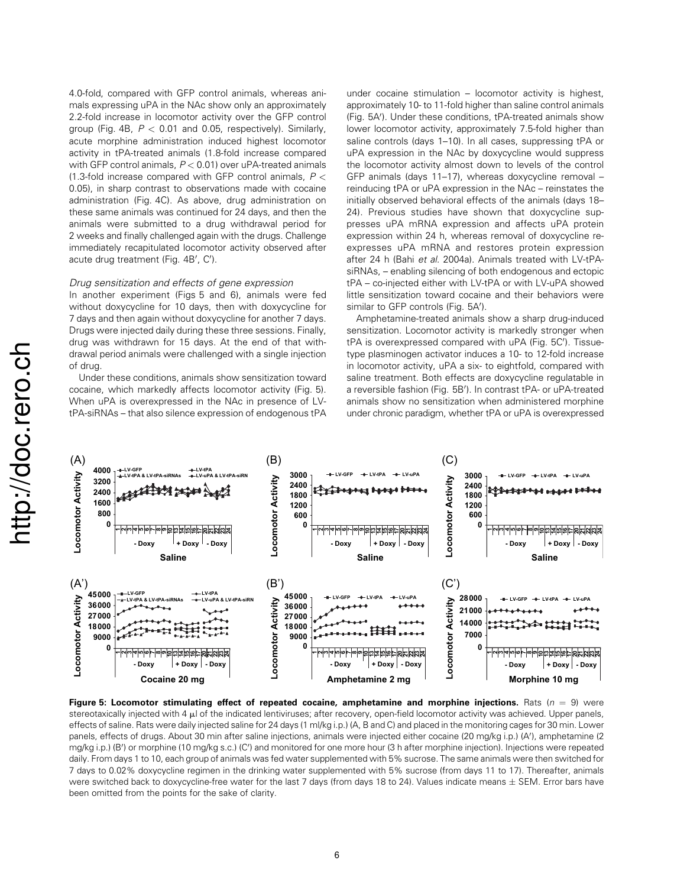4.0-fold, compared with GFP control animals, whereas animals expressing uPA in the NAc show only an approximately 2.2-fold increase in locomotor activity over the GFP control group (Fig. 4B,  $P < 0.01$  and 0.05, respectively). Similarly, acute morphine administration induced highest locomotor activity in tPA-treated animals (1.8-fold increase compared with GFP control animals,  $P < 0.01$ ) over uPA-treated animals (1.3-fold increase compared with GFP control animals,  $P <$ 0.05), in sharp contrast to observations made with cocaine administration (Fig. 4C). As above, drug administration on these same animals was continued for 24 days, and then the animals were submitted to a drug withdrawal period for 2 weeks and finally challenged again with the drugs. Challenge immediately recapitulated locomotor activity observed after acute drug treatment (Fig. 4B', C').

# Drug sensitization and effects of gene expression

In another experiment (Figs 5 and 6), animals were fed without doxycycline for 10 days, then with doxycycline for 7 days and then again without doxycycline for another 7 days. Drugs were injected daily during these three sessions. Finally, drug was withdrawn for 15 days. At the end of that withdrawal period animals were challenged with a single injection of drug.

Under these conditions, animals show sensitization toward cocaine, which markedly affects locomotor activity (Fig. 5). When uPA is overexpressed in the NAc in presence of LVtPA-siRNAs – that also silence expression of endogenous tPA under cocaine stimulation – locomotor activity is highest, approximately 10- to 11-fold higher than saline control animals (Fig. 5A'). Under these conditions, tPA-treated animals show lower locomotor activity, approximately 7.5-fold higher than saline controls (days 1–10). In all cases, suppressing tPA or uPA expression in the NAc by doxycycline would suppress the locomotor activity almost down to levels of the control GFP animals (days 11–17), whereas doxycycline removal – reinducing tPA or uPA expression in the NAc – reinstates the initially observed behavioral effects of the animals (days 18– 24). Previous studies have shown that doxycycline suppresses uPA mRNA expression and affects uPA protein expression within 24 h, whereas removal of doxycycline reexpresses uPA mRNA and restores protein expression after 24 h (Bahi et al. 2004a). Animals treated with LV-tPAsiRNAs, – enabling silencing of both endogenous and ectopic tPA – co-injected either with LV-tPA or with LV-uPA showed little sensitization toward cocaine and their behaviors were similar to GFP controls (Fig. 5A').

Amphetamine-treated animals show a sharp drug-induced sensitization. Locomotor activity is markedly stronger when tPA is overexpressed compared with uPA (Fig. 5C'). Tissuetype plasminogen activator induces a 10- to 12-fold increase in locomotor activity, uPA a six- to eightfold, compared with saline treatment. Both effects are doxycycline regulatable in a reversible fashion (Fig. 5B'). In contrast tPA- or uPA-treated animals show no sensitization when administered morphine under chronic paradigm, whether tPA or uPA is overexpressed



Figure 5: Locomotor stimulating effect of repeated cocaine, amphetamine and morphine injections. Rats ( $n = 9$ ) were stereotaxically injected with 4  $\mu$  of the indicated lentiviruses; after recovery, open-field locomotor activity was achieved. Upper panels, effects of saline. Rats were daily injected saline for 24 days (1 ml/kg i.p.) (A, B and C) and placed in the monitoring cages for 30 min. Lower panels, effects of drugs. About 30 min after saline injections, animals were injected either cocaine (20 mg/kg i.p.) (A'), amphetamine (2 mg/kg i.p.) (B') or morphine (10 mg/kg s.c.) (C') and monitored for one more hour (3 h after morphine injection). Injections were repeated daily. From days 1 to 10, each group of animals was fed water supplemented with 5% sucrose. The same animals were then switched for 7 days to 0.02% doxycycline regimen in the drinking water supplemented with 5% sucrose (from days 11 to 17). Thereafter, animals were switched back to doxycycline-free water for the last 7 days (from days 18 to 24). Values indicate means  $\pm$  SEM. Error bars have been omitted from the points for the sake of clarity.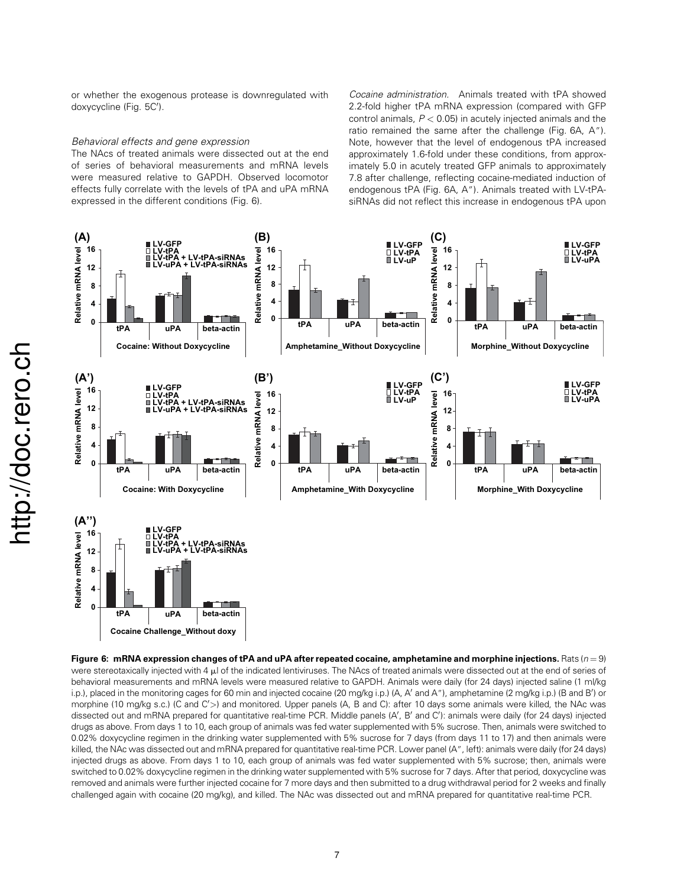or whether the exogenous protease is downregulated with doxycycline (Fig. 5C').

## Behavioral effects and gene expression

The NAcs of treated animals were dissected out at the end of series of behavioral measurements and mRNA levels were measured relative to GAPDH. Observed locomotor effects fully correlate with the levels of tPA and uPA mRNA expressed in the different conditions (Fig. 6).

Cocaine administration. Animals treated with tPA showed 2.2-fold higher tPA mRNA expression (compared with GFP control animals,  $P < 0.05$ ) in acutely injected animals and the ratio remained the same after the challenge (Fig.  $6A$ , A"). Note, however that the level of endogenous tPA increased approximately 1.6-fold under these conditions, from approximately 5.0 in acutely treated GFP animals to approximately 7.8 after challenge, reflecting cocaine-mediated induction of endogenous tPA (Fig. 6A, A"). Animals treated with LV-tPAsiRNAs did not reflect this increase in endogenous tPA upon



Figure 6: mRNA expression changes of tPA and uPA after repeated cocaine, amphetamine and morphine injections. Rats ( $n=9$ ) were stereotaxically injected with 4  $\mu$ l of the indicated lentiviruses. The NAcs of treated animals were dissected out at the end of series of behavioral measurements and mRNA levels were measured relative to GAPDH. Animals were daily (for 24 days) injected saline (1 ml/kg i.p.), placed in the monitoring cages for 60 min and injected cocaine (20 mg/kg i.p.) (A, A' and A"), amphetamine (2 mg/kg i.p.) (B and B') or morphine (10 mg/kg s.c.) (C and C'>) and monitored. Upper panels (A, B and C): after 10 days some animals were killed, the NAc was dissected out and mRNA prepared for quantitative real-time PCR. Middle panels (A', B' and C'): animals were daily (for 24 days) injected drugs as above. From days 1 to 10, each group of animals was fed water supplemented with 5% sucrose. Then, animals were switched to 0.02% doxycycline regimen in the drinking water supplemented with 5% sucrose for 7 days (from days 11 to 17) and then animals were killed, the NAc was dissected out and mRNA prepared for quantitative real-time PCR. Lower panel (A", left): animals were daily (for 24 days) injected drugs as above. From days 1 to 10, each group of animals was fed water supplemented with 5% sucrose; then, animals were switched to 0.02% doxycycline regimen in the drinking water supplemented with 5% sucrose for 7 days. After that period, doxycycline was removed and animals were further injected cocaine for 7 more days and then submitted to a drug withdrawal period for 2 weeks and finally challenged again with cocaine (20 mg/kg), and killed. The NAc was dissected out and mRNA prepared for quantitative real-time PCR.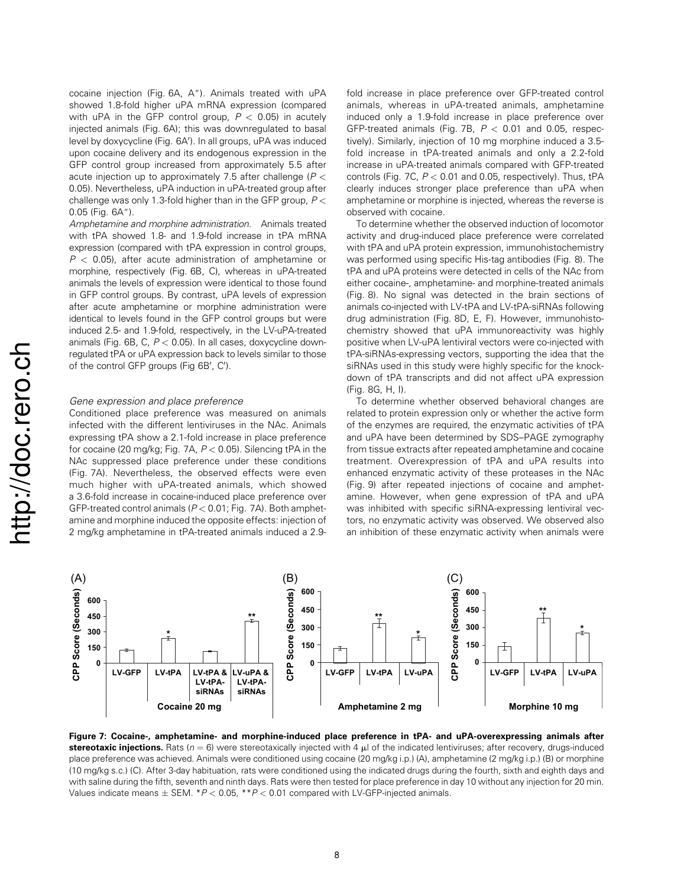cocaine injection (Fig. 6A, A"). Animals treated with uPA showed 1.8-fold higher uPA mRNA expression (compared with uPA in the GFP control group,  $P < 0.05$ ) in acutely injected animals (Fig. 6A); this was downregulated to basal level by doxycycline (Fig. 6A'). In all groups, uPA was induced upon cocaine delivery and its endogenous expression in the GFP control group increased from approximately 5.5 after acute injection up to approximately 7.5 after challenge ( $P <$ 0.05). Nevertheless, uPA induction in uPA-treated group after challenge was only 1.3-fold higher than in the GFP group,  $P <$  $0.05$  (Fig.  $6A$ ").

Amphetamine and morphine administration. Animals treated with tPA showed 1.8- and 1.9-fold increase in tPA mRNA expression (compared with tPA expression in control groups,  $P < 0.05$ ), after acute administration of amphetamine or morphine, respectively (Fig. 6B, C), whereas in uPA-treated animals the levels of expression were identical to those found in GFP control groups. By contrast, uPA levels of expression after acute amphetamine or morphine administration were identical to levels found in the GFP control groups but were induced 2.5- and 1.9-fold, respectively, in the LV-uPA-treated animals (Fig. 6B, C,  $P < 0.05$ ). In all cases, doxycycline downregulated tPA or uPA expression back to levels similar to those of the control GFP groups (Fig 6B', C').

#### Gene expression and place preference

Conditioned place preference was measured on animals infected with the different lentiviruses in the NAc. Animals expressing tPA show a 2.1-fold increase in place preference for cocaine (20 mg/kg; Fig. 7A,  $P < 0.05$ ). Silencing tPA in the NAc suppressed place preference under these conditions (Fig. 7A). Nevertheless, the observed effects were even much higher with uPA-treated animals, which showed a 3.6-fold increase in cocaine-induced place preference over GFP-treated control animals ( $P < 0.01$ ; Fig. 7A). Both amphetamine and morphine induced the opposite effects: injection of 2 mg/kg amphetamine in tPA-treated animals induced a 2.9fold increase in place preference over GFP-treated control animals, whereas in uPA-treated animals, amphetamine induced only a 1.9-fold increase in place preference over GFP-treated animals (Fig. 7B,  $P < 0.01$  and 0.05, respectively). Similarly, injection of 10 mg morphine induced a 3.5 fold increase in tPA-treated animals and only a 2.2-fold increase in uPA-treated animals compared with GFP-treated controls (Fig. 7C,  $P < 0.01$  and 0.05, respectively). Thus, tPA clearly induces stronger place preference than uPA when amphetamine or morphine is injected, whereas the reverse is observed with cocaine.

To determine whether the observed induction of locomotor activity and drug-induced place preference were correlated with tPA and uPA protein expression, immunohistochemistry was performed using specific His-tag antibodies (Fig. 8). The tPA and uPA proteins were detected in cells of the NAc from either cocaine-, amphetamine- and morphine-treated animals (Fig. 8). No signal was detected in the brain sections of animals co-injected with LV-tPA and LV-tPA-siRNAs following drug administration (Fig. 8D, E, F). However, immunohistochemistry showed that uPA immunoreactivity was highly positive when LV-uPA lentiviral vectors were co-injected with tPA-siRNAs-expressing vectors, supporting the idea that the siRNAs used in this study were highly specific for the knockdown of tPA transcripts and did not affect uPA expression (Fig. 8G, H, I).

To determine whether observed behavioral changes are related to protein expression only or whether the active form of the enzymes are required, the enzymatic activities of tPA and uPA have been determined by SDS–PAGE zymography from tissue extracts after repeated amphetamine and cocaine treatment. Overexpression of tPA and uPA results into enhanced enzymatic activity of these proteases in the NAc (Fig. 9) after repeated injections of cocaine and amphetamine. However, when gene expression of tPA and uPA was inhibited with specific siRNA-expressing lentiviral vectors, no enzymatic activity was observed. We observed also an inhibition of these enzymatic activity when animals were



Figure 7: Cocaine-, amphetamine- and morphine-induced place preference in tPA- and uPA-overexpressing animals after **stereotaxic injections.** Rats ( $n = 6$ ) were stereotaxically injected with 4  $\mu$  of the indicated lentiviruses; after recovery, drugs-induced place preference was achieved. Animals were conditioned using cocaine (20 mg/kg i.p.) (A), amphetamine (2 mg/kg i.p.) (B) or morphine (10 mg/kg s.c.) (C). After 3-day habituation, rats were conditioned using the indicated drugs during the fourth, sixth and eighth days and with saline during the fifth, seventh and ninth days. Rats were then tested for place preference in day 10 without any injection for 20 min. Values indicate means  $\pm$  SEM. \* $P < 0.05$ , \*\* $P < 0.01$  compared with LV-GFP-injected animals.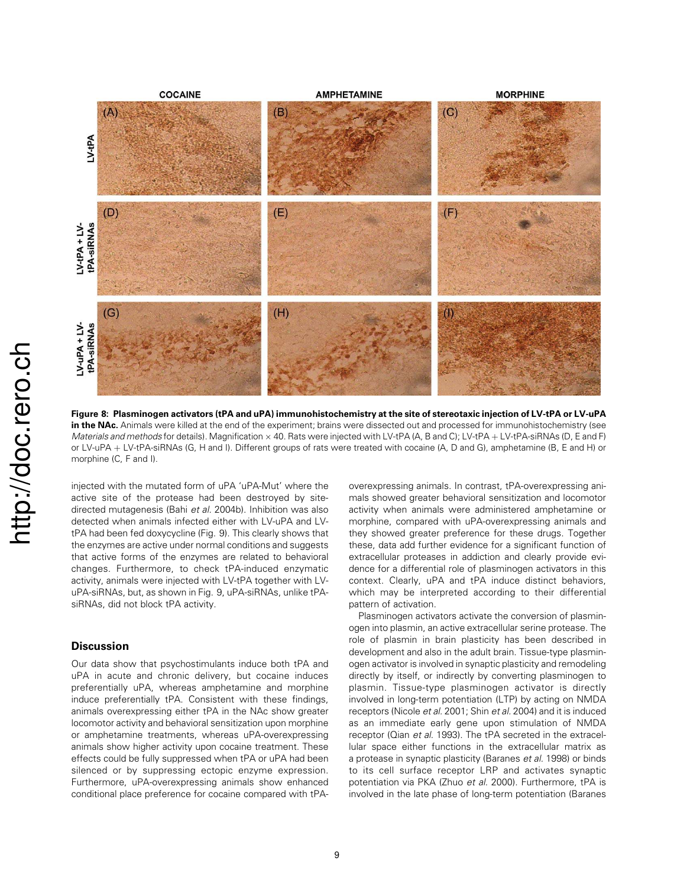

Figure 8: Plasminogen activators (tPA and uPA) immunohistochemistry at the site of stereotaxic injection of LV-tPA or LV-uPA in the NAc. Animals were killed at the end of the experiment; brains were dissected out and processed for immunohistochemistry (see Materials and methods for details). Magnification  $\times$  40. Rats were injected with LV-tPA (A, B and C); LV-tPA + LV-tPA-siRNAs (D, E and F) or LV-uPA + LV-tPA-siRNAs (G, H and I). Different groups of rats were treated with cocaine (A, D and G), amphetamine (B, E and H) or morphine (C, F and I).

injected with the mutated form of uPA 'uPA-Mut' where the active site of the protease had been destroyed by sitedirected mutagenesis (Bahi et al. 2004b). Inhibition was also detected when animals infected either with LV-uPA and LVtPA had been fed doxycycline (Fig. 9). This clearly shows that the enzymes are active under normal conditions and suggests that active forms of the enzymes are related to behavioral changes. Furthermore, to check tPA-induced enzymatic activity, animals were injected with LV-tPA together with LVuPA-siRNAs, but, as shown in Fig. 9, uPA-siRNAs, unlike tPAsiRNAs, did not block tPA activity.

# **Discussion**

Our data show that psychostimulants induce both tPA and uPA in acute and chronic delivery, but cocaine induces preferentially uPA, whereas amphetamine and morphine induce preferentially tPA. Consistent with these findings, animals overexpressing either tPA in the NAc show greater locomotor activity and behavioral sensitization upon morphine or amphetamine treatments, whereas uPA-overexpressing animals show higher activity upon cocaine treatment. These effects could be fully suppressed when tPA or uPA had been silenced or by suppressing ectopic enzyme expression. Furthermore, uPA-overexpressing animals show enhanced conditional place preference for cocaine compared with tPA- overexpressing animals. In contrast, tPA-overexpressing animals showed greater behavioral sensitization and locomotor activity when animals were administered amphetamine or morphine, compared with uPA-overexpressing animals and they showed greater preference for these drugs. Together these, data add further evidence for a significant function of extracellular proteases in addiction and clearly provide evidence for a differential role of plasminogen activators in this context. Clearly, uPA and tPA induce distinct behaviors, which may be interpreted according to their differential pattern of activation.

Plasminogen activators activate the conversion of plasminogen into plasmin, an active extracellular serine protease. The role of plasmin in brain plasticity has been described in development and also in the adult brain. Tissue-type plasminogen activator is involved in synaptic plasticity and remodeling directly by itself, or indirectly by converting plasminogen to plasmin. Tissue-type plasminogen activator is directly involved in long-term potentiation (LTP) by acting on NMDA receptors (Nicole et al. 2001; Shin et al. 2004) and it is induced as an immediate early gene upon stimulation of NMDA receptor (Qian et al. 1993). The tPA secreted in the extracellular space either functions in the extracellular matrix as a protease in synaptic plasticity (Baranes et al. 1998) or binds to its cell surface receptor LRP and activates synaptic potentiation via PKA (Zhuo et al. 2000). Furthermore, tPA is involved in the late phase of long-term potentiation (Baranes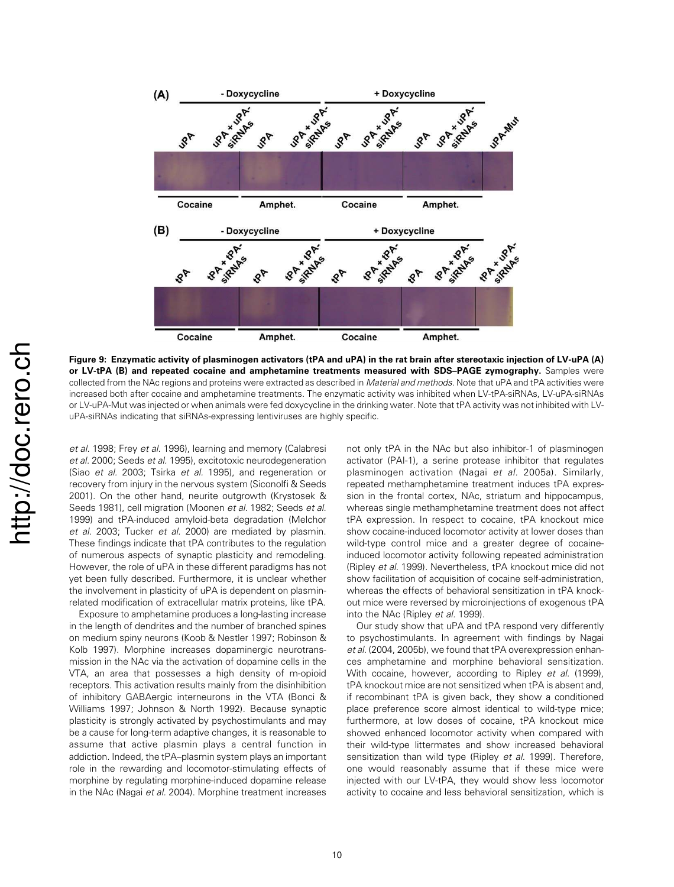

Figure 9: Enzymatic activity of plasminogen activators (tPA and uPA) in the rat brain after stereotaxic injection of LV-uPA (A) or LV-tPA (B) and repeated cocaine and amphetamine treatments measured with SDS–PAGE zymography. Samples were collected from the NAc regions and proteins were extracted as described in Material and methods. Note that uPA and tPA activities were increased both after cocaine and amphetamine treatments. The enzymatic activity was inhibited when LV-tPA-siRNAs, LV-uPA-siRNAs or LV-uPA-Mut was injected or when animals were fed doxycycline in the drinking water. Note that tPA activity was not inhibited with LVuPA-siRNAs indicating that siRNAs-expressing lentiviruses are highly specific.

et al. 1998; Frey et al. 1996), learning and memory (Calabresi et al. 2000; Seeds et al. 1995), excitotoxic neurodegeneration (Siao et al. 2003; Tsirka et al. 1995), and regeneration or recovery from injury in the nervous system (Siconolfi & Seeds 2001). On the other hand, neurite outgrowth (Krystosek & Seeds 1981), cell migration (Moonen et al. 1982; Seeds et al. 1999) and tPA-induced amyloid-beta degradation (Melchor et al. 2003; Tucker et al. 2000) are mediated by plasmin. These findings indicate that tPA contributes to the regulation of numerous aspects of synaptic plasticity and remodeling. However, the role of uPA in these different paradigms has not yet been fully described. Furthermore, it is unclear whether the involvement in plasticity of uPA is dependent on plasminrelated modification of extracellular matrix proteins, like tPA.

Exposure to amphetamine produces a long-lasting increase in the length of dendrites and the number of branched spines on medium spiny neurons (Koob & Nestler 1997; Robinson & Kolb 1997). Morphine increases dopaminergic neurotransmission in the NAc via the activation of dopamine cells in the VTA, an area that possesses a high density of m-opioid receptors. This activation results mainly from the disinhibition of inhibitory GABAergic interneurons in the VTA (Bonci & Williams 1997; Johnson & North 1992). Because synaptic plasticity is strongly activated by psychostimulants and may be a cause for long-term adaptive changes, it is reasonable to assume that active plasmin plays a central function in addiction. Indeed, the tPA–plasmin system plays an important role in the rewarding and locomotor-stimulating effects of morphine by regulating morphine-induced dopamine release in the NAc (Nagai et al. 2004). Morphine treatment increases not only tPA in the NAc but also inhibitor-1 of plasminogen activator (PAI-1), a serine protease inhibitor that regulates plasminogen activation (Nagai et al. 2005a). Similarly, repeated methamphetamine treatment induces tPA expression in the frontal cortex, NAc, striatum and hippocampus, whereas single methamphetamine treatment does not affect tPA expression. In respect to cocaine, tPA knockout mice show cocaine-induced locomotor activity at lower doses than wild-type control mice and a greater degree of cocaineinduced locomotor activity following repeated administration (Ripley et al. 1999). Nevertheless, tPA knockout mice did not show facilitation of acquisition of cocaine self-administration, whereas the effects of behavioral sensitization in tPA knockout mice were reversed by microinjections of exogenous tPA into the NAc (Ripley et al. 1999).

Our study show that uPA and tPA respond very differently to psychostimulants. In agreement with findings by Nagai et al. (2004, 2005b), we found that tPA overexpression enhances amphetamine and morphine behavioral sensitization. With cocaine, however, according to Ripley et al. (1999), tPA knockout mice are not sensitized when tPA is absent and, if recombinant tPA is given back, they show a conditioned place preference score almost identical to wild-type mice; furthermore, at low doses of cocaine, tPA knockout mice showed enhanced locomotor activity when compared with their wild-type littermates and show increased behavioral sensitization than wild type (Ripley et al. 1999). Therefore, one would reasonably assume that if these mice were injected with our LV-tPA, they would show less locomotor activity to cocaine and less behavioral sensitization, which is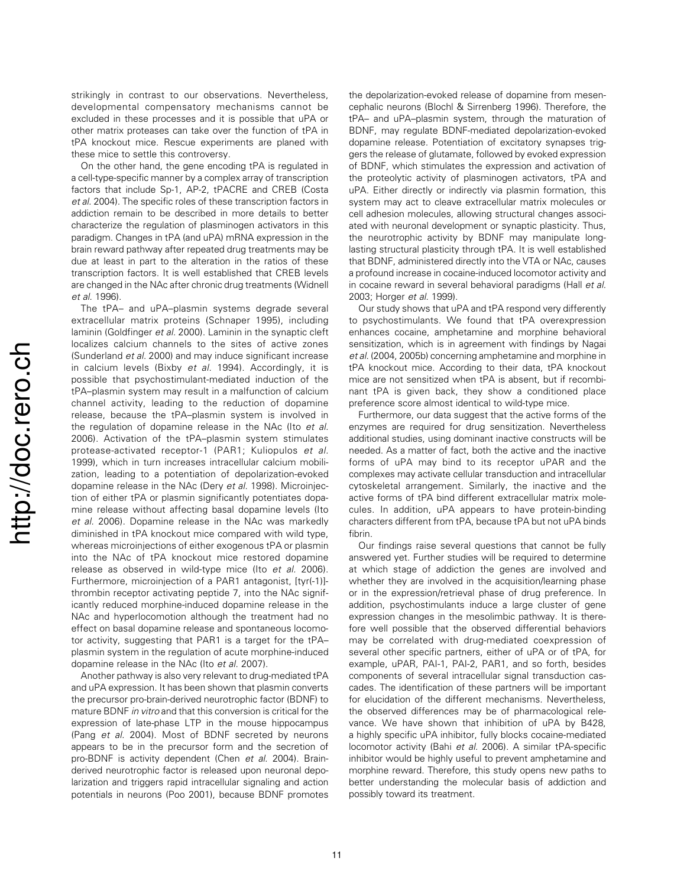strikingly in contrast to our observations. Nevertheless, developmental compensatory mechanisms cannot be excluded in these processes and it is possible that uPA or other matrix proteases can take over the function of tPA in tPA knockout mice. Rescue experiments are planed with these mice to settle this controversy.

On the other hand, the gene encoding tPA is regulated in a cell-type-specific manner by a complex array of transcription factors that include Sp-1, AP-2, tPACRE and CREB (Costa et al. 2004). The specific roles of these transcription factors in addiction remain to be described in more details to better characterize the regulation of plasminogen activators in this paradigm. Changes in tPA (and uPA) mRNA expression in the brain reward pathway after repeated drug treatments may be due at least in part to the alteration in the ratios of these transcription factors. It is well established that CREB levels are changed in the NAc after chronic drug treatments (Widnell et al. 1996).

The tPA– and uPA–plasmin systems degrade several extracellular matrix proteins (Schnaper 1995), including laminin (Goldfinger et al. 2000). Laminin in the synaptic cleft localizes calcium channels to the sites of active zones (Sunderland et al. 2000) and may induce significant increase in calcium levels (Bixby et al. 1994). Accordingly, it is possible that psychostimulant-mediated induction of the tPA–plasmin system may result in a malfunction of calcium channel activity, leading to the reduction of dopamine release, because the tPA–plasmin system is involved in the regulation of dopamine release in the NAc (Ito et al. 2006). Activation of the tPA–plasmin system stimulates protease-activated receptor-1 (PAR1; Kuliopulos et al. 1999), which in turn increases intracellular calcium mobilization, leading to a potentiation of depolarization-evoked dopamine release in the NAc (Dery et al. 1998). Microinjection of either tPA or plasmin significantly potentiates dopamine release without affecting basal dopamine levels (Ito et al. 2006). Dopamine release in the NAc was markedly diminished in tPA knockout mice compared with wild type, whereas microinjections of either exogenous tPA or plasmin into the NAc of tPA knockout mice restored dopamine release as observed in wild-type mice (Ito et al. 2006). Furthermore, microinjection of a PAR1 antagonist, [tyr(-1)] thrombin receptor activating peptide 7, into the NAc significantly reduced morphine-induced dopamine release in the NAc and hyperlocomotion although the treatment had no effect on basal dopamine release and spontaneous locomotor activity, suggesting that PAR1 is a target for the tPA– plasmin system in the regulation of acute morphine-induced dopamine release in the NAc (Ito et al. 2007).

Another pathway is also very relevant to drug-mediated tPA and uPA expression. It has been shown that plasmin converts the precursor pro-brain-derived neurotrophic factor (BDNF) to mature BDNF in vitro and that this conversion is critical for the expression of late-phase LTP in the mouse hippocampus (Pang et al. 2004). Most of BDNF secreted by neurons appears to be in the precursor form and the secretion of pro-BDNF is activity dependent (Chen et al. 2004). Brainderived neurotrophic factor is released upon neuronal depolarization and triggers rapid intracellular signaling and action potentials in neurons (Poo 2001), because BDNF promotes the depolarization-evoked release of dopamine from mesencephalic neurons (Blochl & Sirrenberg 1996). Therefore, the tPA– and uPA–plasmin system, through the maturation of BDNF, may regulate BDNF-mediated depolarization-evoked dopamine release. Potentiation of excitatory synapses triggers the release of glutamate, followed by evoked expression of BDNF, which stimulates the expression and activation of the proteolytic activity of plasminogen activators, tPA and uPA. Either directly or indirectly via plasmin formation, this system may act to cleave extracellular matrix molecules or cell adhesion molecules, allowing structural changes associated with neuronal development or synaptic plasticity. Thus, the neurotrophic activity by BDNF may manipulate longlasting structural plasticity through tPA. It is well established that BDNF, administered directly into the VTA or NAc, causes a profound increase in cocaine-induced locomotor activity and in cocaine reward in several behavioral paradigms (Hall et al. 2003; Horger et al. 1999).

Our study shows that uPA and tPA respond very differently to psychostimulants. We found that tPA overexpression enhances cocaine, amphetamine and morphine behavioral sensitization, which is in agreement with findings by Nagai et al. (2004, 2005b) concerning amphetamine and morphine in tPA knockout mice. According to their data, tPA knockout mice are not sensitized when tPA is absent, but if recombinant tPA is given back, they show a conditioned place preference score almost identical to wild-type mice.

Furthermore, our data suggest that the active forms of the enzymes are required for drug sensitization. Nevertheless additional studies, using dominant inactive constructs will be needed. As a matter of fact, both the active and the inactive forms of uPA may bind to its receptor uPAR and the complexes may activate cellular transduction and intracellular cytoskeletal arrangement. Similarly, the inactive and the active forms of tPA bind different extracellular matrix molecules. In addition, uPA appears to have protein-binding characters different from tPA, because tPA but not uPA binds fibrin.

Our findings raise several questions that cannot be fully answered yet. Further studies will be required to determine at which stage of addiction the genes are involved and whether they are involved in the acquisition/learning phase or in the expression/retrieval phase of drug preference. In addition, psychostimulants induce a large cluster of gene expression changes in the mesolimbic pathway. It is therefore well possible that the observed differential behaviors may be correlated with drug-mediated coexpression of several other specific partners, either of uPA or of tPA, for example, uPAR, PAI-1, PAI-2, PAR1, and so forth, besides components of several intracellular signal transduction cascades. The identification of these partners will be important for elucidation of the different mechanisms. Nevertheless, the observed differences may be of pharmacological relevance. We have shown that inhibition of uPA by B428, a highly specific uPA inhibitor, fully blocks cocaine-mediated locomotor activity (Bahi et al. 2006). A similar tPA-specific inhibitor would be highly useful to prevent amphetamine and morphine reward. Therefore, this study opens new paths to better understanding the molecular basis of addiction and possibly toward its treatment.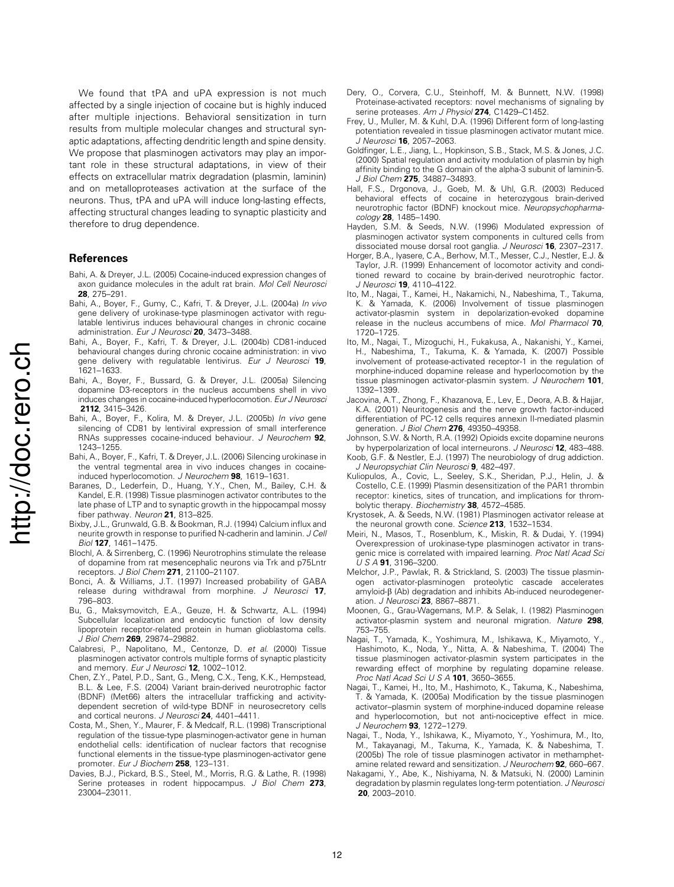We found that tPA and uPA expression is not much affected by a single injection of cocaine but is highly induced after multiple injections. Behavioral sensitization in turn results from multiple molecular changes and structural synaptic adaptations, affecting dendritic length and spine density. We propose that plasminogen activators may play an important role in these structural adaptations, in view of their effects on extracellular matrix degradation (plasmin, laminin) and on metalloproteases activation at the surface of the neurons. Thus, tPA and uPA will induce long-lasting effects, affecting structural changes leading to synaptic plasticity and therefore to drug dependence.

## References

- Bahi, A. & Dreyer, J.L. (2005) Cocaine-induced expression changes of axon guidance molecules in the adult rat brain. Mol Cell Neurosci 28, 275–291.
- Bahi, A., Boyer, F., Gumy, C., Kafri, T. & Dreyer, J.L. (2004a) In vivo gene delivery of urokinase-type plasminogen activator with regulatable lentivirus induces behavioural changes in chronic cocaine administration. Eur J Neurosci 20, 3473-3488.
- Bahi, A., Boyer, F., Kafri, T. & Dreyer, J.L. (2004b) CD81-induced behavioural changes during chronic cocaine administration: in vivo gene delivery with regulatable lentivirus. Eur J Neurosci 19, 1621–1633.
- Bahi, A., Boyer, F., Bussard, G. & Dreyer, J.L. (2005a) Silencing dopamine D3-receptors in the nucleus accumbens shell in vivo induces changes in cocaine-induced hyperlocomotion. Eur J Neurosci 2112, 3415–3426.
- Bahi, A., Boyer, F., Kolira, M. & Dreyer, J.L. (2005b) In vivo gene silencing of CD81 by lentiviral expression of small interference RNAs suppresses cocaine-induced behaviour. J Neurochem 92, 1243–1255.
- Bahi, A., Boyer, F., Kafri, T. & Dreyer, J.L. (2006) Silencing urokinase in the ventral tegmental area in vivo induces changes in cocaineinduced hyperlocomotion. J Neurochem 98, 1619–1631.
- Baranes, D., Lederfein, D., Huang, Y.Y., Chen, M., Bailey, C.H. & Kandel, E.R. (1998) Tissue plasminogen activator contributes to the late phase of LTP and to synaptic growth in the hippocampal mossy fiber pathway. Neuron 21, 813-825.
- Bixby, J.L., Grunwald, G.B. & Bookman, R.J. (1994) Calcium influx and neurite growth in response to purified N-cadherin and laminin. J Cell Biol 127, 1461–1475.
- Blochl, A. & Sirrenberg, C. (1996) Neurotrophins stimulate the release of dopamine from rat mesencephalic neurons via Trk and p75Lntr receptors. J Biol Chem 271, 21100–21107.
- Bonci, A. & Williams, J.T. (1997) Increased probability of GABA release during withdrawal from morphine. J Neurosci 17, 796–803.
- Bu, G., Maksymovitch, E.A., Geuze, H. & Schwartz, A.L. (1994) Subcellular localization and endocytic function of low density lipoprotein receptor-related protein in human glioblastoma cells. J Biol Chem 269, 29874–29882.
- Calabresi, P., Napolitano, M., Centonze, D. et al. (2000) Tissue plasminogen activator controls multiple forms of synaptic plasticity and memory. Eur J Neurosci 12, 1002-1012.
- Chen, Z.Y., Patel, P.D., Sant, G., Meng, C.X., Teng, K.K., Hempstead, B.L. & Lee, F.S. (2004) Variant brain-derived neurotrophic factor (BDNF) (Met66) alters the intracellular trafficking and activitydependent secretion of wild-type BDNF in neurosecretory cells and cortical neurons. J Neurosci 24, 4401–4411.
- Costa, M., Shen, Y., Maurer, F. & Medcalf, R.L. (1998) Transcriptional regulation of the tissue-type plasminogen-activator gene in human endothelial cells: identification of nuclear factors that recognise functional elements in the tissue-type plasminogen-activator gene promoter. Eur J Biochem 258, 123-131.
- Davies, B.J., Pickard, B.S., Steel, M., Morris, R.G. & Lathe, R. (1998) Serine proteases in rodent hippocampus. J Biol Chem 273, 23004–23011.
- Dery, O., Corvera, C.U., Steinhoff, M. & Bunnett, N.W. (1998) Proteinase-activated receptors: novel mechanisms of signaling by serine proteases. Am J Physiol 274, C1429-C1452
- Frey, U., Muller, M. & Kuhl, D.A. (1996) Different form of long-lasting potentiation revealed in tissue plasminogen activator mutant mice. J Neurosci **16**, 2057–2063.
- Goldfinger, L.E., Jiang, L., Hopkinson, S.B., Stack, M.S. & Jones, J.C. (2000) Spatial regulation and activity modulation of plasmin by high affinity binding to the G domain of the alpha-3 subunit of laminin-5. J Biol Chem 275, 34887–34893.
- Hall, F.S., Drgonova, J., Goeb, M. & Uhl, G.R. (2003) Reduced behavioral effects of cocaine in heterozygous brain-derived neurotrophic factor (BDNF) knockout mice. Neuropsychopharmacology 28, 1485–1490.
- Hayden, S.M. & Seeds, N.W. (1996) Modulated expression of plasminogen activator system components in cultured cells from dissociated mouse dorsal root ganglia. J Neurosci 16, 2307-2317.
- Horger, B.A., Iyasere, C.A., Berhow, M.T., Messer, C.J., Nestler, E.J. & Taylor, J.R. (1999) Enhancement of locomotor activity and conditioned reward to cocaine by brain-derived neurotrophic factor. J Neurosci 19, 4110–4122.
- Ito, M., Nagai, T., Kamei, H., Nakamichi, N., Nabeshima, T., Takuma, K. & Yamada, K. (2006) Involvement of tissue plasminogen activator-plasmin system in depolarization-evoked dopamine release in the nucleus accumbens of mice. Mol Pharmacol 70, 1720–1725.
- Ito, M., Nagai, T., Mizoguchi, H., Fukakusa, A., Nakanishi, Y., Kamei, H., Nabeshima, T., Takuma, K. & Yamada, K. (2007) Possible involvement of protease-activated receptor-1 in the regulation of morphine-induced dopamine release and hyperlocomotion by the tissue plasminogen activator-plasmin system. J Neurochem 101, 1392–1399.
- Jacovina, A.T., Zhong, F., Khazanova, E., Lev, E., Deora, A.B. & Hajjar, K.A. (2001) Neuritogenesis and the nerve growth factor-induced differentiation of PC-12 cells requires annexin II-mediated plasmin generation. J Biol Chem 276, 49350-49358.
- Johnson, S.W. & North, R.A. (1992) Opioids excite dopamine neurons by hyperpolarization of local interneurons. J Neurosci 12, 483–488.
- Koob, G.F. & Nestler, E.J. (1997) The neurobiology of drug addiction. J Neuropsychiat Clin Neurosci 9, 482-497.
- Kuliopulos, A., Covic, L., Seeley, S.K., Sheridan, P.J., Helin, J. & Costello, C.E. (1999) Plasmin desensitization of the PAR1 thrombin receptor: kinetics, sites of truncation, and implications for thrombolytic therapy. Biochemistry 38, 4572-4585.
- Krystosek, A. & Seeds, N.W. (1981) Plasminogen activator release at the neuronal growth cone. Science 213, 1532-1534
- Meiri, N., Masos, T., Rosenblum, K., Miskin, R. & Dudai, Y. (1994) Overexpression of urokinase-type plasminogen activator in transgenic mice is correlated with impaired learning. Proc Natl Acad Sci  $U S A 91, 3196 - 3200.$
- Melchor, J.P., Pawlak, R. & Strickland, S. (2003) The tissue plasminogen activator-plasminogen proteolytic cascade accelerates  $amyloid-B$  (Ab) degradation and inhibits Ab-induced neurodegeneration. J Neurosci 23, 8867-8871.
- Moonen, G., Grau-Wagemans, M.P. & Selak, I. (1982) Plasminogen activator-plasmin system and neuronal migration. Nature 298, 753–755.
- Nagai, T., Yamada, K., Yoshimura, M., Ishikawa, K., Miyamoto, Y., Hashimoto, K., Noda, Y., Nitta, A. & Nabeshima, T. (2004) The tissue plasminogen activator-plasmin system participates in the rewarding effect of morphine by regulating dopamine release. Proc Natl Acad Sci U S A 101, 3650–3655.
- Nagai, T., Kamei, H., Ito, M., Hashimoto, K., Takuma, K., Nabeshima, T. & Yamada, K. (2005a) Modification by the tissue plasminogen activator–plasmin system of morphine-induced dopamine release and hyperlocomotion, but not anti-nociceptive effect in mice. J Neurochem 93, 1272–1279.
- Nagai, T., Noda, Y., Ishikawa, K., Miyamoto, Y., Yoshimura, M., Ito, M., Takayanagi, M., Takuma, K., Yamada, K. & Nabeshima, T. (2005b) The role of tissue plasminogen activator in methamphetamine related reward and sensitization. J Neurochem 92, 660-667.
- Nakagami, Y., Abe, K., Nishiyama, N. & Matsuki, N. (2000) Laminin degradation by plasmin regulates long-term potentiation. J Neurosci 20, 2003–2010.